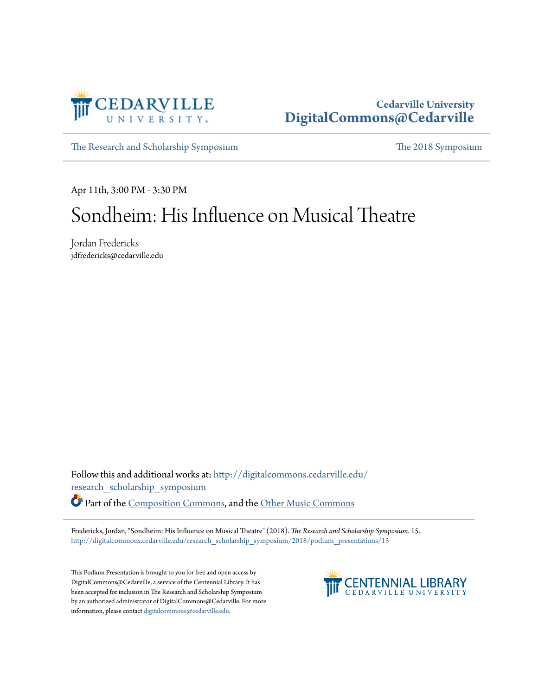

## **Cedarville University [DigitalCommons@Cedarville](http://digitalcommons.cedarville.edu?utm_source=digitalcommons.cedarville.edu%2Fresearch_scholarship_symposium%2F2018%2Fpodium_presentations%2F15&utm_medium=PDF&utm_campaign=PDFCoverPages)**

[The Research and Scholarship Symposium](http://digitalcommons.cedarville.edu/research_scholarship_symposium?utm_source=digitalcommons.cedarville.edu%2Fresearch_scholarship_symposium%2F2018%2Fpodium_presentations%2F15&utm_medium=PDF&utm_campaign=PDFCoverPages) [The 2018 Symposium](http://digitalcommons.cedarville.edu/research_scholarship_symposium/2018?utm_source=digitalcommons.cedarville.edu%2Fresearch_scholarship_symposium%2F2018%2Fpodium_presentations%2F15&utm_medium=PDF&utm_campaign=PDFCoverPages)

Apr 11th, 3:00 PM - 3:30 PM

## Sondheim: His Influence on Musical Theatre

Jordan Fredericks jdfredericks@cedarville.edu

Follow this and additional works at: [http://digitalcommons.cedarville.edu/](http://digitalcommons.cedarville.edu/research_scholarship_symposium?utm_source=digitalcommons.cedarville.edu%2Fresearch_scholarship_symposium%2F2018%2Fpodium_presentations%2F15&utm_medium=PDF&utm_campaign=PDFCoverPages) [research\\_scholarship\\_symposium](http://digitalcommons.cedarville.edu/research_scholarship_symposium?utm_source=digitalcommons.cedarville.edu%2Fresearch_scholarship_symposium%2F2018%2Fpodium_presentations%2F15&utm_medium=PDF&utm_campaign=PDFCoverPages)

Part of the [Composition Commons,](http://network.bepress.com/hgg/discipline/519?utm_source=digitalcommons.cedarville.edu%2Fresearch_scholarship_symposium%2F2018%2Fpodium_presentations%2F15&utm_medium=PDF&utm_campaign=PDFCoverPages) and the [Other Music Commons](http://network.bepress.com/hgg/discipline/524?utm_source=digitalcommons.cedarville.edu%2Fresearch_scholarship_symposium%2F2018%2Fpodium_presentations%2F15&utm_medium=PDF&utm_campaign=PDFCoverPages)

Fredericks, Jordan, "Sondheim: His Influence on Musical Theatre" (2018). *The Research and Scholarship Symposium*. 15. [http://digitalcommons.cedarville.edu/research\\_scholarship\\_symposium/2018/podium\\_presentations/15](http://digitalcommons.cedarville.edu/research_scholarship_symposium/2018/podium_presentations/15?utm_source=digitalcommons.cedarville.edu%2Fresearch_scholarship_symposium%2F2018%2Fpodium_presentations%2F15&utm_medium=PDF&utm_campaign=PDFCoverPages)

This Podium Presentation is brought to you for free and open access by DigitalCommons@Cedarville, a service of the Centennial Library. It has been accepted for inclusion in The Research and Scholarship Symposium by an authorized administrator of DigitalCommons@Cedarville. For more information, please contact [digitalcommons@cedarville.edu.](mailto:digitalcommons@cedarville.edu)

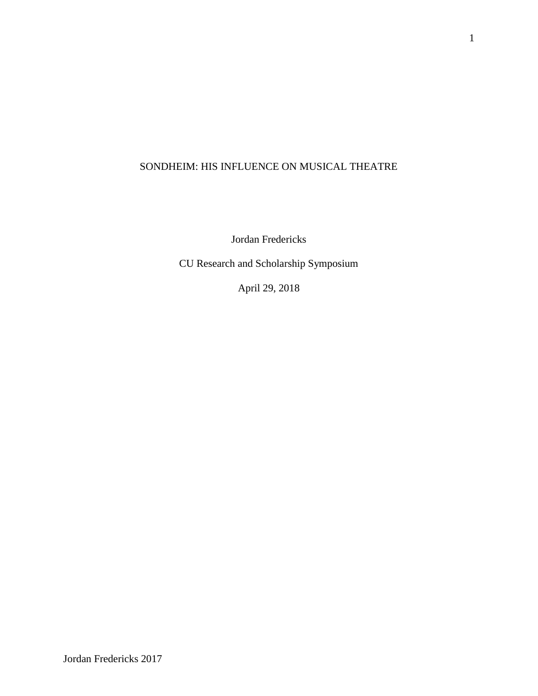## SONDHEIM: HIS INFLUENCE ON MUSICAL THEATRE

Jordan Fredericks

CU Research and Scholarship Symposium

April 29, 2018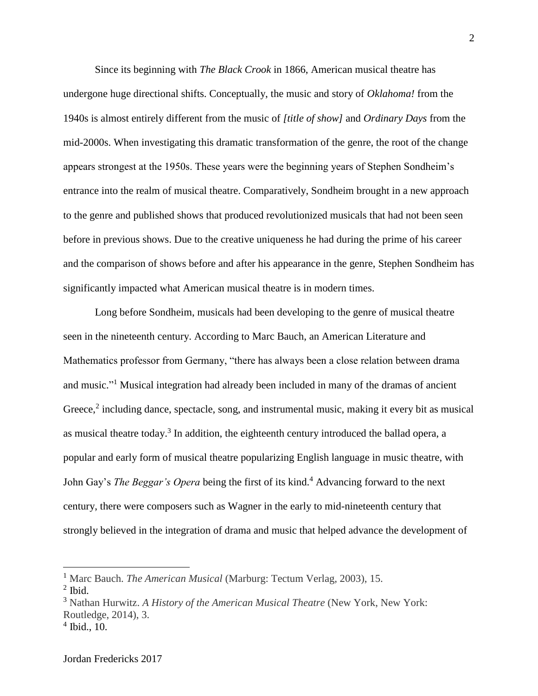Since its beginning with *The Black Crook* in 1866, American musical theatre has undergone huge directional shifts. Conceptually, the music and story of *Oklahoma!* from the 1940s is almost entirely different from the music of *[title of show]* and *Ordinary Days* from the mid-2000s. When investigating this dramatic transformation of the genre, the root of the change appears strongest at the 1950s. These years were the beginning years of Stephen Sondheim's entrance into the realm of musical theatre. Comparatively, Sondheim brought in a new approach to the genre and published shows that produced revolutionized musicals that had not been seen before in previous shows. Due to the creative uniqueness he had during the prime of his career and the comparison of shows before and after his appearance in the genre, Stephen Sondheim has significantly impacted what American musical theatre is in modern times.

Long before Sondheim, musicals had been developing to the genre of musical theatre seen in the nineteenth century. According to Marc Bauch, an American Literature and Mathematics professor from Germany, "there has always been a close relation between drama and music."<sup>1</sup> Musical integration had already been included in many of the dramas of ancient Greece,<sup>2</sup> including dance, spectacle, song, and instrumental music, making it every bit as musical as musical theatre today.<sup>3</sup> In addition, the eighteenth century introduced the ballad opera, a popular and early form of musical theatre popularizing English language in music theatre, with John Gay's *The Beggar's Opera* being the first of its kind. <sup>4</sup> Advancing forward to the next century, there were composers such as Wagner in the early to mid-nineteenth century that strongly believed in the integration of drama and music that helped advance the development of

<sup>1</sup> Marc Bauch. *The American Musical* (Marburg: Tectum Verlag, 2003), 15.

 $<sup>2</sup>$  Ibid.</sup>

<sup>3</sup> Nathan Hurwitz. *A History of the American Musical Theatre* (New York, New York: Routledge, 2014), 3.

<sup>4</sup> Ibid., 10.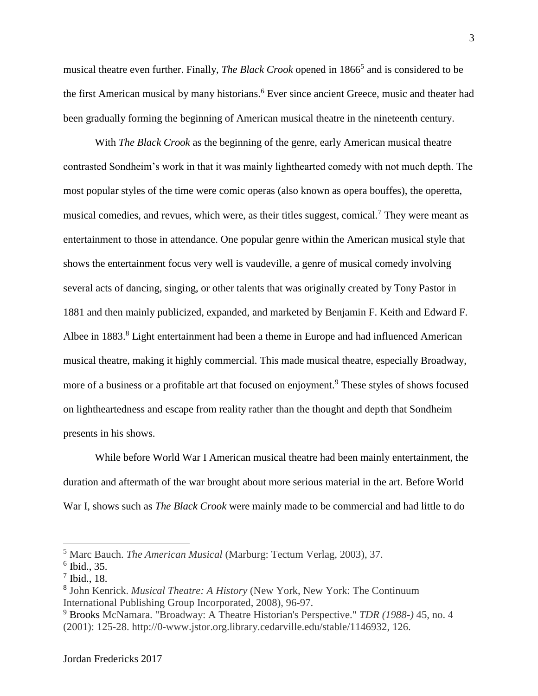musical theatre even further. Finally, *The Black Crook* opened in 1866<sup>5</sup> and is considered to be the first American musical by many historians. <sup>6</sup> Ever since ancient Greece, music and theater had been gradually forming the beginning of American musical theatre in the nineteenth century.

With *The Black Crook* as the beginning of the genre, early American musical theatre contrasted Sondheim's work in that it was mainly lighthearted comedy with not much depth. The most popular styles of the time were comic operas (also known as opera bouffes), the operetta, musical comedies, and revues, which were, as their titles suggest, comical.<sup>7</sup> They were meant as entertainment to those in attendance. One popular genre within the American musical style that shows the entertainment focus very well is vaudeville, a genre of musical comedy involving several acts of dancing, singing, or other talents that was originally created by Tony Pastor in 1881 and then mainly publicized, expanded, and marketed by Benjamin F. Keith and Edward F. Albee in 1883.<sup>8</sup> Light entertainment had been a theme in Europe and had influenced American musical theatre, making it highly commercial. This made musical theatre, especially Broadway, more of a business or a profitable art that focused on enjoyment.<sup>9</sup> These styles of shows focused on lightheartedness and escape from reality rather than the thought and depth that Sondheim presents in his shows.

While before World War I American musical theatre had been mainly entertainment, the duration and aftermath of the war brought about more serious material in the art. Before World War I, shows such as *The Black Crook* were mainly made to be commercial and had little to do

<sup>5</sup> Marc Bauch. *The American Musical* (Marburg: Tectum Verlag, 2003), 37.

<sup>6</sup> Ibid., 35.

<sup>7</sup> Ibid., 18.

<sup>8</sup> John Kenrick. *Musical Theatre: A History* (New York, New York: The Continuum International Publishing Group Incorporated, 2008), 96-97.

<sup>9</sup> Brooks McNamara. "Broadway: A Theatre Historian's Perspective." *TDR (1988-)* 45, no. 4 (2001): 125-28. http://0-www.jstor.org.library.cedarville.edu/stable/1146932, 126.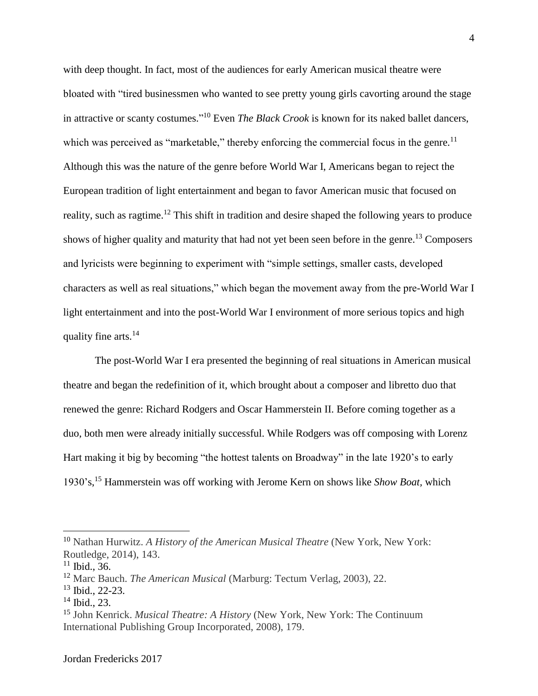with deep thought. In fact, most of the audiences for early American musical theatre were bloated with "tired businessmen who wanted to see pretty young girls cavorting around the stage in attractive or scanty costumes." <sup>10</sup> Even *The Black Crook* is known for its naked ballet dancers, which was perceived as "marketable," thereby enforcing the commercial focus in the genre.<sup>11</sup> Although this was the nature of the genre before World War I, Americans began to reject the European tradition of light entertainment and began to favor American music that focused on reality, such as ragtime.<sup>12</sup> This shift in tradition and desire shaped the following years to produce shows of higher quality and maturity that had not yet been seen before in the genre. <sup>13</sup> Composers and lyricists were beginning to experiment with "simple settings, smaller casts, developed characters as well as real situations," which began the movement away from the pre-World War I light entertainment and into the post-World War I environment of more serious topics and high quality fine arts.<sup>14</sup>

The post-World War I era presented the beginning of real situations in American musical theatre and began the redefinition of it, which brought about a composer and libretto duo that renewed the genre: Richard Rodgers and Oscar Hammerstein II. Before coming together as a duo, both men were already initially successful. While Rodgers was off composing with Lorenz Hart making it big by becoming "the hottest talents on Broadway" in the late 1920's to early 1930's,<sup>15</sup> Hammerstein was off working with Jerome Kern on shows like *Show Boat,* which

<sup>10</sup> Nathan Hurwitz. *A History of the American Musical Theatre* (New York, New York: Routledge, 2014), 143.

 $11$  Ibid., 36.

<sup>12</sup> Marc Bauch. *The American Musical* (Marburg: Tectum Verlag, 2003), 22.

<sup>13</sup> Ibid., 22-23.

 $14$  Ibid., 23.

<sup>15</sup> John Kenrick. *Musical Theatre: A History* (New York, New York: The Continuum International Publishing Group Incorporated, 2008), 179.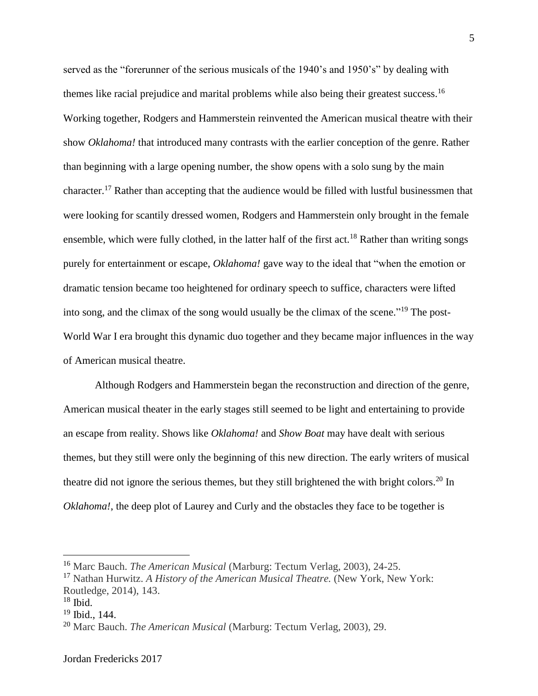served as the "forerunner of the serious musicals of the 1940's and 1950's" by dealing with themes like racial prejudice and marital problems while also being their greatest success.<sup>16</sup> Working together, Rodgers and Hammerstein reinvented the American musical theatre with their show *Oklahoma!* that introduced many contrasts with the earlier conception of the genre. Rather than beginning with a large opening number, the show opens with a solo sung by the main character.<sup>17</sup> Rather than accepting that the audience would be filled with lustful businessmen that were looking for scantily dressed women, Rodgers and Hammerstein only brought in the female ensemble, which were fully clothed, in the latter half of the first act.<sup>18</sup> Rather than writing songs purely for entertainment or escape, *Oklahoma!* gave way to the ideal that "when the emotion or dramatic tension became too heightened for ordinary speech to suffice, characters were lifted into song, and the climax of the song would usually be the climax of the scene."<sup>19</sup> The post-World War I era brought this dynamic duo together and they became major influences in the way of American musical theatre.

Although Rodgers and Hammerstein began the reconstruction and direction of the genre, American musical theater in the early stages still seemed to be light and entertaining to provide an escape from reality. Shows like *Oklahoma!* and *Show Boat* may have dealt with serious themes, but they still were only the beginning of this new direction. The early writers of musical theatre did not ignore the serious themes, but they still brightened the with bright colors.<sup>20</sup> In *Oklahoma!*, the deep plot of Laurey and Curly and the obstacles they face to be together is

<sup>16</sup> Marc Bauch. *The American Musical* (Marburg: Tectum Verlag, 2003), 24-25.

<sup>&</sup>lt;sup>17</sup> Nathan Hurwitz. *A History of the American Musical Theatre.* (New York, New York: Routledge, 2014), 143.

 $18$  Ibid.

<sup>19</sup> Ibid., 144.

<sup>20</sup> Marc Bauch. *The American Musical* (Marburg: Tectum Verlag, 2003), 29.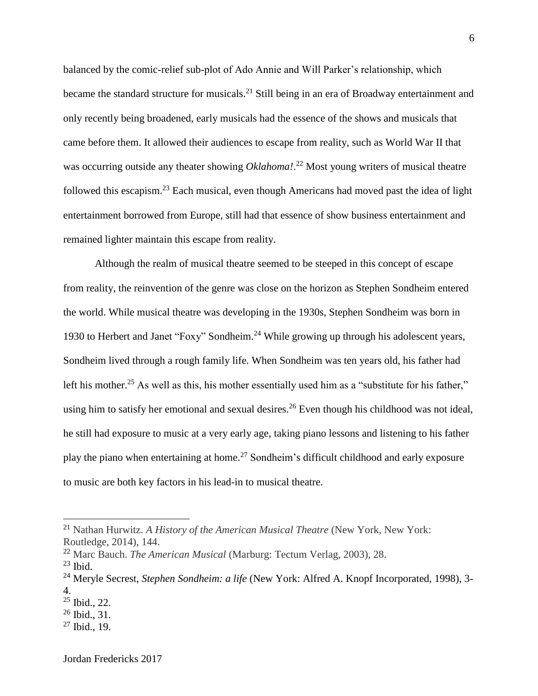balanced by the comic-relief sub-plot of Ado Annie and Will Parker's relationship, which became the standard structure for musicals.<sup>21</sup> Still being in an era of Broadway entertainment and only recently being broadened, early musicals had the essence of the shows and musicals that came before them. It allowed their audiences to escape from reality, such as World War II that was occurring outside any theater showing *Oklahoma!*. <sup>22</sup> Most young writers of musical theatre followed this escapism.<sup>23</sup> Each musical, even though Americans had moved past the idea of light entertainment borrowed from Europe, still had that essence of show business entertainment and remained lighter maintain this escape from reality.

Although the realm of musical theatre seemed to be steeped in this concept of escape from reality, the reinvention of the genre was close on the horizon as Stephen Sondheim entered the world. While musical theatre was developing in the 1930s, Stephen Sondheim was born in 1930 to Herbert and Janet "Foxy" Sondheim. <sup>24</sup> While growing up through his adolescent years, Sondheim lived through a rough family life. When Sondheim was ten years old, his father had left his mother.<sup>25</sup> As well as this, his mother essentially used him as a "substitute for his father," using him to satisfy her emotional and sexual desires.<sup>26</sup> Even though his childhood was not ideal, he still had exposure to music at a very early age, taking piano lessons and listening to his father play the piano when entertaining at home.<sup>27</sup> Sondheim's difficult childhood and early exposure to music are both key factors in his lead-in to musical theatre.

<sup>21</sup> Nathan Hurwitz. *A History of the American Musical Theatre* (New York, New York: Routledge, 2014), 144.

<sup>22</sup> Marc Bauch. *The American Musical* (Marburg: Tectum Verlag, 2003), 28.

 $^{23}$  Ibid.

<sup>&</sup>lt;sup>24</sup> Meryle Secrest, *Stephen Sondheim: a life* (New York: Alfred A. Knopf Incorporated, 1998), 3-4.

 $25$  Ibid., 22.

<sup>26</sup> Ibid., 31.

 $27$  Ibid., 19.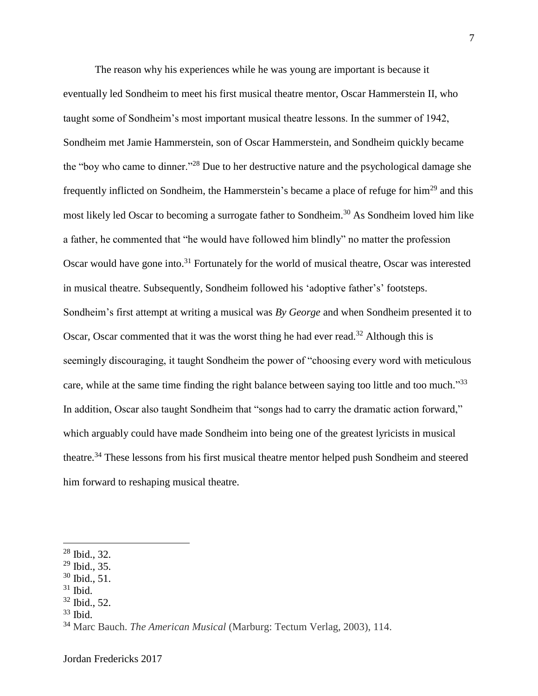The reason why his experiences while he was young are important is because it eventually led Sondheim to meet his first musical theatre mentor, Oscar Hammerstein II, who taught some of Sondheim's most important musical theatre lessons. In the summer of 1942, Sondheim met Jamie Hammerstein, son of Oscar Hammerstein, and Sondheim quickly became the "boy who came to dinner." <sup>28</sup> Due to her destructive nature and the psychological damage she frequently inflicted on Sondheim, the Hammerstein's became a place of refuge for him<sup>29</sup> and this most likely led Oscar to becoming a surrogate father to Sondheim.<sup>30</sup> As Sondheim loved him like a father, he commented that "he would have followed him blindly" no matter the profession Oscar would have gone into.<sup>31</sup> Fortunately for the world of musical theatre, Oscar was interested in musical theatre. Subsequently, Sondheim followed his 'adoptive father's' footsteps. Sondheim's first attempt at writing a musical was *By George* and when Sondheim presented it to Oscar, Oscar commented that it was the worst thing he had ever read.<sup>32</sup> Although this is seemingly discouraging, it taught Sondheim the power of "choosing every word with meticulous care, while at the same time finding the right balance between saying too little and too much."<sup>33</sup> In addition, Oscar also taught Sondheim that "songs had to carry the dramatic action forward," which arguably could have made Sondheim into being one of the greatest lyricists in musical theatre.<sup>34</sup> These lessons from his first musical theatre mentor helped push Sondheim and steered him forward to reshaping musical theatre.

<sup>28</sup> Ibid., 32.

<sup>29</sup> Ibid., 35.

 $30$  Ibid., 51.

 $31$  Ibid.

 $32$  Ibid., 52.

 $33$  Ibid.

<sup>34</sup> Marc Bauch. *The American Musical* (Marburg: Tectum Verlag, 2003), 114.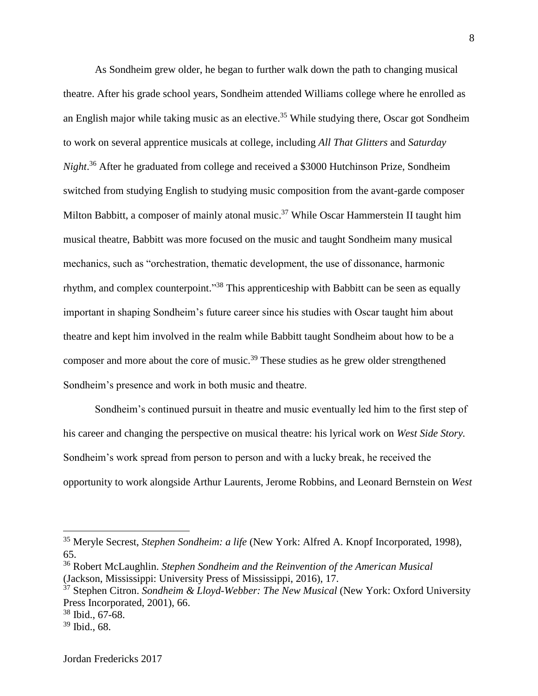As Sondheim grew older, he began to further walk down the path to changing musical theatre. After his grade school years, Sondheim attended Williams college where he enrolled as an English major while taking music as an elective. <sup>35</sup> While studying there, Oscar got Sondheim to work on several apprentice musicals at college, including *All That Glitters* and *Saturday Night*. <sup>36</sup> After he graduated from college and received a \$3000 Hutchinson Prize, Sondheim switched from studying English to studying music composition from the avant-garde composer Milton Babbitt, a composer of mainly atonal music.<sup>37</sup> While Oscar Hammerstein II taught him musical theatre, Babbitt was more focused on the music and taught Sondheim many musical mechanics, such as "orchestration, thematic development, the use of dissonance, harmonic rhythm, and complex counterpoint."<sup>38</sup> This apprenticeship with Babbitt can be seen as equally important in shaping Sondheim's future career since his studies with Oscar taught him about theatre and kept him involved in the realm while Babbitt taught Sondheim about how to be a composer and more about the core of music.<sup>39</sup> These studies as he grew older strengthened Sondheim's presence and work in both music and theatre.

Sondheim's continued pursuit in theatre and music eventually led him to the first step of his career and changing the perspective on musical theatre: his lyrical work on *West Side Story.*  Sondheim's work spread from person to person and with a lucky break, he received the opportunity to work alongside Arthur Laurents, Jerome Robbins, and Leonard Bernstein on *West* 

<sup>35</sup> Meryle Secrest, *Stephen Sondheim: a life* (New York: Alfred A. Knopf Incorporated, 1998), 65.

<sup>36</sup> Robert McLaughlin. *Stephen Sondheim and the Reinvention of the American Musical* (Jackson, Mississippi: University Press of Mississippi, 2016), 17.

<sup>&</sup>lt;sup>37</sup> Stephen Citron. *Sondheim & Lloyd-Webber: The New Musical* (New York: Oxford University Press Incorporated, 2001), 66.

<sup>38</sup> Ibid., 67-68.

<sup>39</sup> Ibid., 68.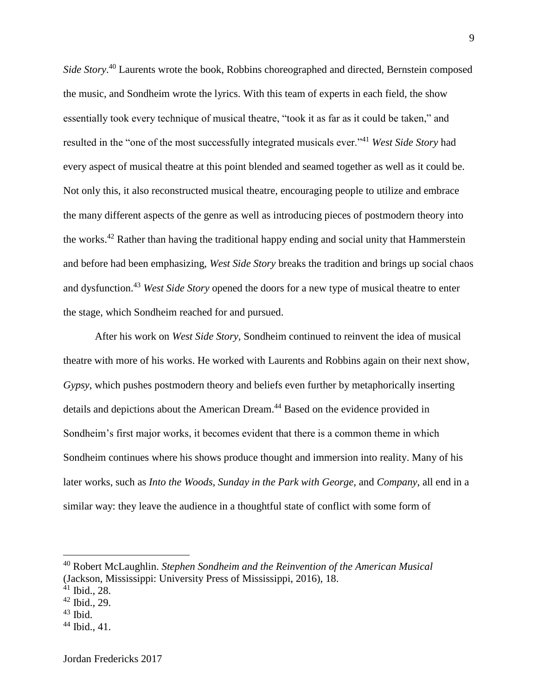*Side Story*. <sup>40</sup> Laurents wrote the book, Robbins choreographed and directed, Bernstein composed the music, and Sondheim wrote the lyrics. With this team of experts in each field, the show essentially took every technique of musical theatre, "took it as far as it could be taken," and resulted in the "one of the most successfully integrated musicals ever." <sup>41</sup> *West Side Story* had every aspect of musical theatre at this point blended and seamed together as well as it could be. Not only this, it also reconstructed musical theatre, encouraging people to utilize and embrace the many different aspects of the genre as well as introducing pieces of postmodern theory into the works.<sup>42</sup> Rather than having the traditional happy ending and social unity that Hammerstein and before had been emphasizing, *West Side Story* breaks the tradition and brings up social chaos and dysfunction. <sup>43</sup> *West Side Story* opened the doors for a new type of musical theatre to enter the stage, which Sondheim reached for and pursued.

After his work on *West Side Story,* Sondheim continued to reinvent the idea of musical theatre with more of his works. He worked with Laurents and Robbins again on their next show, *Gypsy*, which pushes postmodern theory and beliefs even further by metaphorically inserting details and depictions about the American Dream.<sup>44</sup> Based on the evidence provided in Sondheim's first major works, it becomes evident that there is a common theme in which Sondheim continues where his shows produce thought and immersion into reality. Many of his later works, such as *Into the Woods, Sunday in the Park with George,* and *Company*, all end in a similar way: they leave the audience in a thoughtful state of conflict with some form of

 $43$  Ibid.

<sup>40</sup> Robert McLaughlin. *Stephen Sondheim and the Reinvention of the American Musical* (Jackson, Mississippi: University Press of Mississippi, 2016), 18.

<sup>41</sup> Ibid., 28.

 $42$  Ibid., 29.

 $44$  Ibid., 41.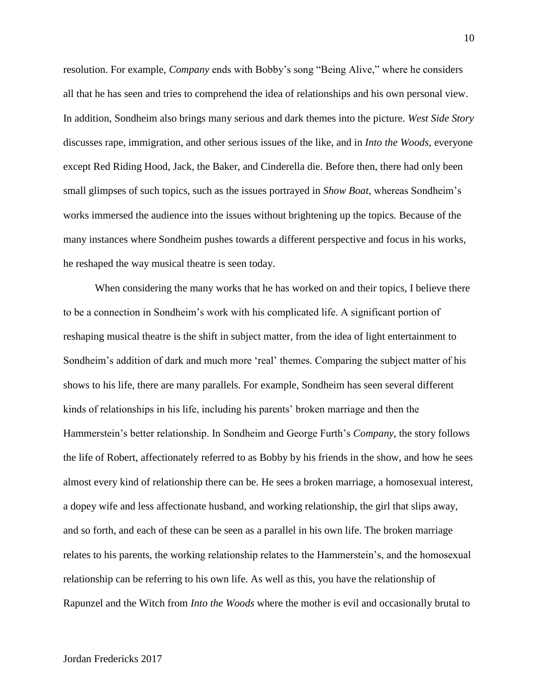resolution. For example, *Company* ends with Bobby's song "Being Alive," where he considers all that he has seen and tries to comprehend the idea of relationships and his own personal view. In addition, Sondheim also brings many serious and dark themes into the picture. *West Side Story*  discusses rape, immigration, and other serious issues of the like, and in *Into the Woods,* everyone except Red Riding Hood, Jack, the Baker, and Cinderella die. Before then, there had only been small glimpses of such topics, such as the issues portrayed in *Show Boat*, whereas Sondheim's works immersed the audience into the issues without brightening up the topics*.* Because of the many instances where Sondheim pushes towards a different perspective and focus in his works, he reshaped the way musical theatre is seen today.

When considering the many works that he has worked on and their topics, I believe there to be a connection in Sondheim's work with his complicated life. A significant portion of reshaping musical theatre is the shift in subject matter, from the idea of light entertainment to Sondheim's addition of dark and much more 'real' themes. Comparing the subject matter of his shows to his life, there are many parallels. For example, Sondheim has seen several different kinds of relationships in his life, including his parents' broken marriage and then the Hammerstein's better relationship. In Sondheim and George Furth's *Company*, the story follows the life of Robert, affectionately referred to as Bobby by his friends in the show, and how he sees almost every kind of relationship there can be. He sees a broken marriage, a homosexual interest, a dopey wife and less affectionate husband, and working relationship, the girl that slips away, and so forth, and each of these can be seen as a parallel in his own life. The broken marriage relates to his parents, the working relationship relates to the Hammerstein's, and the homosexual relationship can be referring to his own life. As well as this, you have the relationship of Rapunzel and the Witch from *Into the Woods* where the mother is evil and occasionally brutal to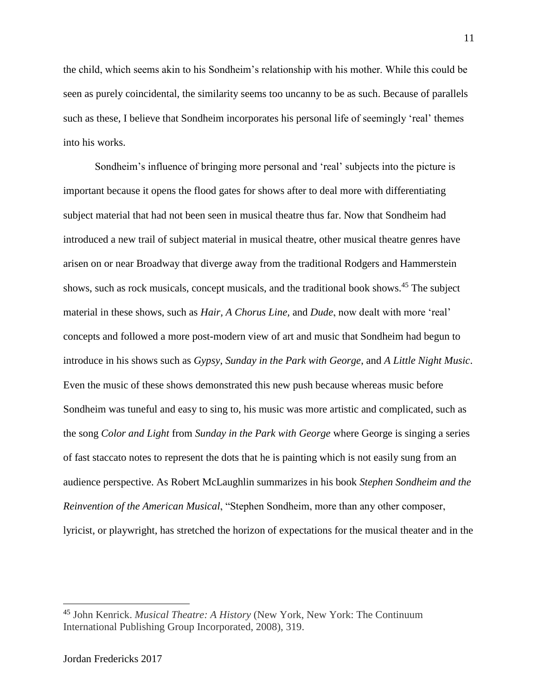the child, which seems akin to his Sondheim's relationship with his mother. While this could be seen as purely coincidental, the similarity seems too uncanny to be as such. Because of parallels such as these, I believe that Sondheim incorporates his personal life of seemingly 'real' themes into his works.

Sondheim's influence of bringing more personal and 'real' subjects into the picture is important because it opens the flood gates for shows after to deal more with differentiating subject material that had not been seen in musical theatre thus far. Now that Sondheim had introduced a new trail of subject material in musical theatre, other musical theatre genres have arisen on or near Broadway that diverge away from the traditional Rodgers and Hammerstein shows, such as rock musicals, concept musicals, and the traditional book shows. <sup>45</sup> The subject material in these shows, such as *Hair, A Chorus Line,* and *Dude*, now dealt with more 'real' concepts and followed a more post-modern view of art and music that Sondheim had begun to introduce in his shows such as *Gypsy*, *Sunday in the Park with George*, and *A Little Night Music*. Even the music of these shows demonstrated this new push because whereas music before Sondheim was tuneful and easy to sing to, his music was more artistic and complicated, such as the song *Color and Light* from *Sunday in the Park with George* where George is singing a series of fast staccato notes to represent the dots that he is painting which is not easily sung from an audience perspective. As Robert McLaughlin summarizes in his book *Stephen Sondheim and the Reinvention of the American Musical*, "Stephen Sondheim, more than any other composer, lyricist, or playwright, has stretched the horizon of expectations for the musical theater and in the

<sup>45</sup> John Kenrick. *Musical Theatre: A History* (New York, New York: The Continuum International Publishing Group Incorporated, 2008), 319.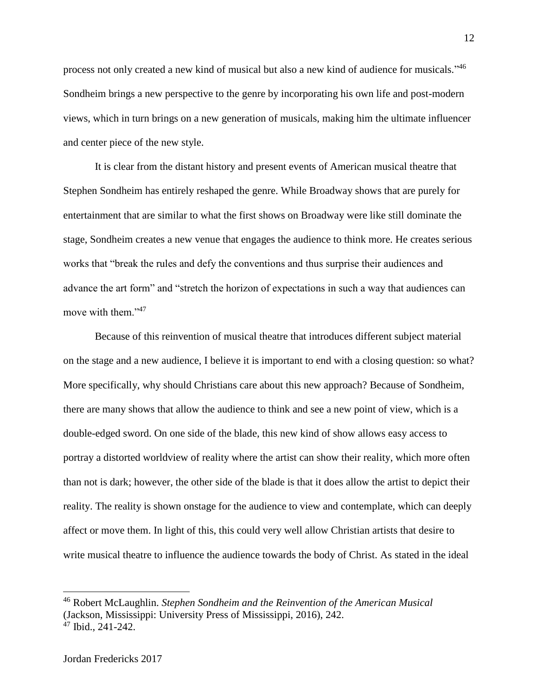process not only created a new kind of musical but also a new kind of audience for musicals."<sup>46</sup> Sondheim brings a new perspective to the genre by incorporating his own life and post-modern views, which in turn brings on a new generation of musicals, making him the ultimate influencer and center piece of the new style.

It is clear from the distant history and present events of American musical theatre that Stephen Sondheim has entirely reshaped the genre. While Broadway shows that are purely for entertainment that are similar to what the first shows on Broadway were like still dominate the stage, Sondheim creates a new venue that engages the audience to think more. He creates serious works that "break the rules and defy the conventions and thus surprise their audiences and advance the art form" and "stretch the horizon of expectations in such a way that audiences can move with them."<sup>47</sup>

Because of this reinvention of musical theatre that introduces different subject material on the stage and a new audience, I believe it is important to end with a closing question: so what? More specifically, why should Christians care about this new approach? Because of Sondheim, there are many shows that allow the audience to think and see a new point of view, which is a double-edged sword. On one side of the blade, this new kind of show allows easy access to portray a distorted worldview of reality where the artist can show their reality, which more often than not is dark; however, the other side of the blade is that it does allow the artist to depict their reality. The reality is shown onstage for the audience to view and contemplate, which can deeply affect or move them. In light of this, this could very well allow Christian artists that desire to write musical theatre to influence the audience towards the body of Christ. As stated in the ideal

<sup>46</sup> Robert McLaughlin. *Stephen Sondheim and the Reinvention of the American Musical*  (Jackson, Mississippi: University Press of Mississippi, 2016), 242.

 $47$  Ibid., 241-242.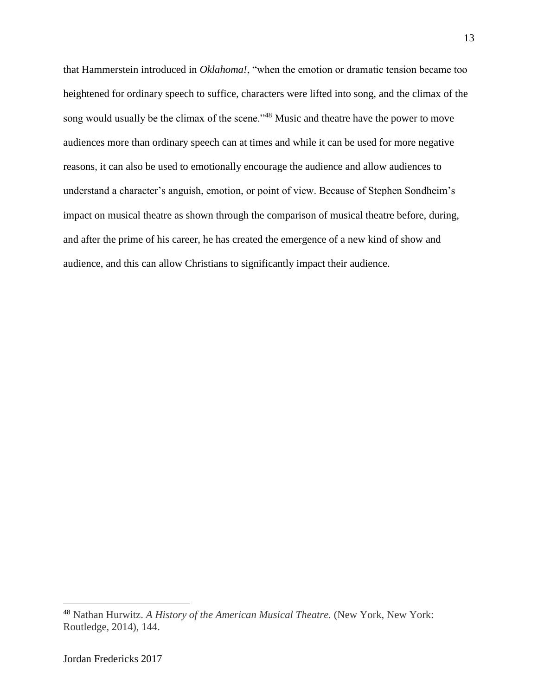that Hammerstein introduced in *Oklahoma!*, "when the emotion or dramatic tension became too heightened for ordinary speech to suffice, characters were lifted into song, and the climax of the song would usually be the climax of the scene."<sup>48</sup> Music and theatre have the power to move audiences more than ordinary speech can at times and while it can be used for more negative reasons, it can also be used to emotionally encourage the audience and allow audiences to understand a character's anguish, emotion, or point of view. Because of Stephen Sondheim's impact on musical theatre as shown through the comparison of musical theatre before, during, and after the prime of his career, he has created the emergence of a new kind of show and audience, and this can allow Christians to significantly impact their audience.

<sup>48</sup> Nathan Hurwitz. *A History of the American Musical Theatre.* (New York, New York: Routledge, 2014), 144.